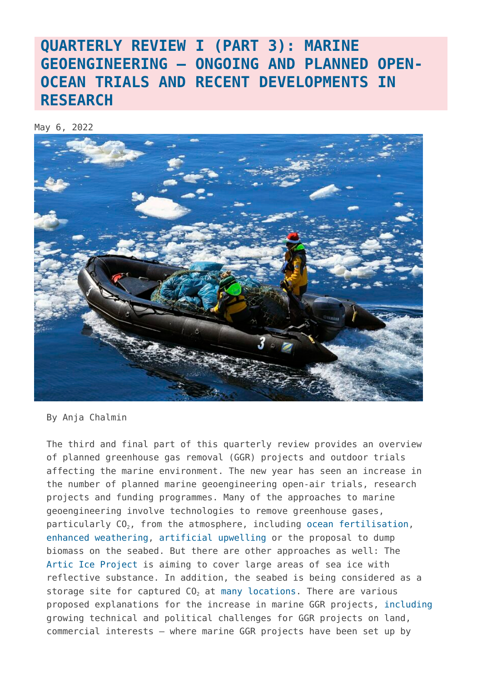## **[QUARTERLY REVIEW I \(PART 3\): MARINE](https://www.geoengineeringmonitor.org/2022/05/quarterly-review-i-part-3-marine-geoengineering-ongoing-and-planned-open-ocean-trials-and-recent-developments-in-research/) [GEOENGINEERING – ONGOING AND PLANNED OPEN-](https://www.geoengineeringmonitor.org/2022/05/quarterly-review-i-part-3-marine-geoengineering-ongoing-and-planned-open-ocean-trials-and-recent-developments-in-research/)[OCEAN TRIALS AND RECENT DEVELOPMENTS IN](https://www.geoengineeringmonitor.org/2022/05/quarterly-review-i-part-3-marine-geoengineering-ongoing-and-planned-open-ocean-trials-and-recent-developments-in-research/) [RESEARCH](https://www.geoengineeringmonitor.org/2022/05/quarterly-review-i-part-3-marine-geoengineering-ongoing-and-planned-open-ocean-trials-and-recent-developments-in-research/)**

May 6, 2022



By Anja Chalmin

The third and final part of this quarterly review provides an overview of planned greenhouse gas removal (GGR) projects and outdoor trials affecting the marine environment. The new year has seen an increase in the number of planned marine geoengineering open-air trials, research projects and funding programmes. Many of the approaches to marine geoengineering involve technologies to remove greenhouse gases, particularly  $CO<sub>2</sub>$ , from the atmosphere, including [ocean fertilisation,](https://www.geoengineeringmonitor.org/wp-content/uploads/2021/04/ocean-fertilization.pdf) [enhanced weathering](https://www.geoengineeringmonitor.org/wp-content/uploads/2021/04/enhanced-weathering.pdf), [artificial upwelling](https://www.geoengineeringmonitor.org/wp-content/uploads/2021/04/artificial-upwelling.pdf) or the proposal to dump biomass on the seabed. But there are other approaches as well: The [Artic Ice Project](https://map.geoengineeringmonitor.org/other/arctic-ice-project-(former-ice911)-beaufort-gyre) is aiming to cover large areas of sea ice with reflective substance. In addition, the seabed is being considered as a storage site for captured CO<sub>2</sub> at [many locations.](https://map.geoengineeringmonitor.org/) There are various proposed explanations for the increase in marine GGR projects, [including](https://www.frontiersin.org/articles/10.3389/fclim.2021.664456/full) growing technical and political challenges for GGR projects on land, commercial interests – where marine GGR projects have been set up by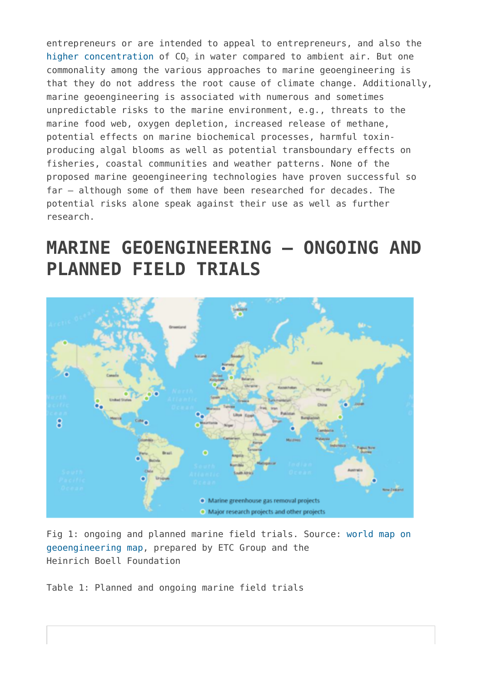entrepreneurs or are intended to appeal to entrepreneurs, and also the [higher concentration](https://pubs.acs.org/doi/full/10.1021/acssuschemeng.0c08561) of  $CO<sub>2</sub>$  in water compared to ambient air. But one commonality among the various approaches to marine geoengineering is that they do not address the root cause of climate change. Additionally, marine geoengineering is associated with numerous and sometimes unpredictable risks to the marine environment, e.g., threats to the marine food web, oxygen depletion, increased release of methane, potential effects on marine biochemical processes, harmful toxinproducing algal blooms as well as potential transboundary effects on fisheries, coastal communities and weather patterns. None of the proposed marine geoengineering technologies have proven successful so far – although some of them have been researched for decades. The potential risks alone speak against their use as well as further research.

# **MARINE GEOENGINEERING – ONGOING AND PLANNED FIELD TRIALS**



Fig 1: ongoing and planned marine field trials. Source: [world map on](https://map.geoengineeringmonitor.org/) [geoengineering map,](https://map.geoengineeringmonitor.org/) prepared by ETC Group and the Heinrich Boell Foundation

Table 1: Planned and ongoing marine field trials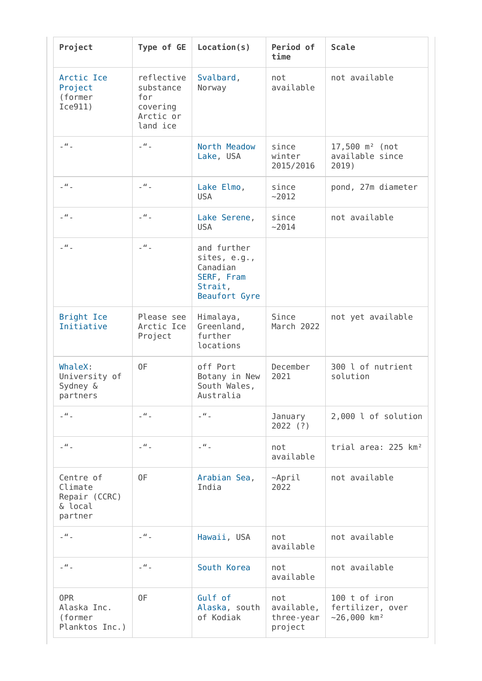| Project                                                     | Type of GE                                                          | Location(s)                                                                       | Period of<br>time                          | <b>Scale</b>                                                   |
|-------------------------------------------------------------|---------------------------------------------------------------------|-----------------------------------------------------------------------------------|--------------------------------------------|----------------------------------------------------------------|
| Arctic Ice<br>Project<br>(former<br>Ice911)                 | reflective<br>substance<br>for<br>covering<br>Arctic or<br>land ice | Svalbard,<br>Norway                                                               | not<br>available                           | not available                                                  |
| $ ^{\prime\prime}$ $-$                                      | $\overline{\phantom{a}}$ $\overline{\phantom{a}}$                   | North Meadow<br>Lake, USA                                                         | since<br>winter<br>2015/2016               | $17,500$ m <sup>2</sup> (not<br>available since<br>2019)       |
| $\mathcal{L}^H$ .                                           | $ ^{\prime\prime}$ $-$                                              | Lake Elmo,<br><b>USA</b>                                                          | since<br>~2012                             | pond, 27m diameter                                             |
| $\overline{\phantom{a}}$ $\overline{\phantom{a}}$           | $\mathcal{L}^H$ .                                                   | Lake Serene,<br><b>USA</b>                                                        | since<br>~2014                             | not available                                                  |
| $\mathcal{L}^H$ .                                           | $\mathcal{L}^H$ .                                                   | and further<br>sites, e.g.,<br>Canadian<br>SERF, Fram<br>Strait,<br>Beaufort Gyre |                                            |                                                                |
| <b>Bright Ice</b><br>Initiative                             | Please see<br>Arctic Ice<br>Project                                 | Himalaya,<br>Greenland,<br>further<br>locations                                   | Since<br>March 2022                        | not yet available                                              |
| WhaleX:<br>University of<br>Sydney &<br>partners            | 0F                                                                  | off Port<br>Botany in New<br>South Wales,<br>Australia                            | December<br>2021                           | 300 l of nutrient<br>solution                                  |
| $\overline{\phantom{a}}$ $\overline{\phantom{a}}$           | $ ^{\prime\prime}$ $-$                                              | $\mathbb{Z}^H$ .                                                                  | January<br>$2022$ (?)                      | 2,000 l of solution                                            |
| $\Box^H \Box$                                               | $\mathcal{L}^H$ .                                                   | $\Box^H \Box$                                                                     | not<br>available                           | trial area: 225 km <sup>2</sup>                                |
| Centre of<br>Climate<br>Repair (CCRC)<br>& local<br>partner | 0F                                                                  | Arabian Sea,<br>India                                                             | $~\sim$ April<br>2022                      | not available                                                  |
| $\overline{\phantom{a}}$ $\overline{\phantom{a}}$           | $\Box^H \Box$                                                       | Hawaii, USA                                                                       | not<br>available                           | not available                                                  |
| $ ^{\prime\prime}$ $-$                                      | $\mathcal{L}^H$ .                                                   | South Korea                                                                       | not<br>available                           | not available                                                  |
| 0PR<br>Alaska Inc.<br>(former<br>Planktos Inc.)             | 0F                                                                  | Gulf of<br>Alaska, south<br>of Kodiak                                             | not<br>available,<br>three-year<br>project | 100 t of iron<br>fertilizer, over<br>$-26,000$ km <sup>2</sup> |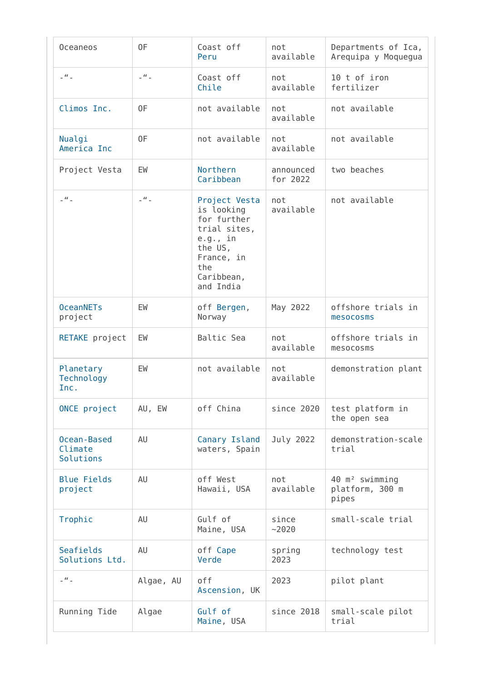| <b>Oceaneos</b>                     | 0F                                                | Coast off<br>Peru                                                                                                                 | not<br>available      | Departments of Ica,<br>Arequipa y Moquegua             |
|-------------------------------------|---------------------------------------------------|-----------------------------------------------------------------------------------------------------------------------------------|-----------------------|--------------------------------------------------------|
| $ ^{\prime\prime}$ $-$              | $ ^{\prime\prime}$ $-$                            | Coast off<br>Chile                                                                                                                | not<br>available      | 10 t of iron<br>fertilizer                             |
| Climos Inc.                         | 0F                                                | not available                                                                                                                     | not<br>available      | not available                                          |
| Nualgi<br>America Inc               | 0F                                                | not available                                                                                                                     | not<br>available      | not available                                          |
| Project Vesta                       | EW                                                | Northern<br>Caribbean                                                                                                             | announced<br>for 2022 | two beaches                                            |
| $ ^{\prime\prime}$ $-$              | $\overline{\phantom{a}}$ $\overline{\phantom{a}}$ | Project Vesta<br>is looking<br>for further<br>trial sites,<br>e.g., in<br>the US,<br>France, in<br>the<br>Caribbean,<br>and India | not<br>available      | not available                                          |
| <b>OceanNETs</b><br>project         | EW                                                | off Bergen,<br>Norway                                                                                                             | May 2022              | offshore trials in<br>mesocosms                        |
| RETAKE project                      | EW                                                | Baltic Sea                                                                                                                        | not<br>available      | offshore trials in<br>mesocosms                        |
| Planetary<br>Technology<br>Inc.     | EW                                                | not available                                                                                                                     | not<br>available      | demonstration plant                                    |
| ONCE project                        | AU, EW                                            | off China                                                                                                                         | since 2020            | test platform in<br>the open sea                       |
| Ocean-Based<br>Climate<br>Solutions | AU                                                | Canary Island<br>waters, Spain                                                                                                    | July 2022             | demonstration-scale<br>trial                           |
| <b>Blue Fields</b><br>project       | AU                                                | off West<br>Hawaii, USA                                                                                                           | not<br>available      | 40 m <sup>2</sup> swimming<br>platform, 300 m<br>pipes |
| Trophic                             | AU                                                | Gulf of<br>Maine, USA                                                                                                             | since<br>$-2020$      | small-scale trial                                      |
| Seafields<br>Solutions Ltd.         | AU                                                | off Cape<br>Verde                                                                                                                 | spring<br>2023        | technology test                                        |
| $\Box^H \Box$                       | Algae, AU                                         | off<br>Ascension, UK                                                                                                              | 2023                  | pilot plant                                            |
| Running Tide                        | Algae                                             | Gulf of<br>Maine, USA                                                                                                             | since 2018            | small-scale pilot<br>trial                             |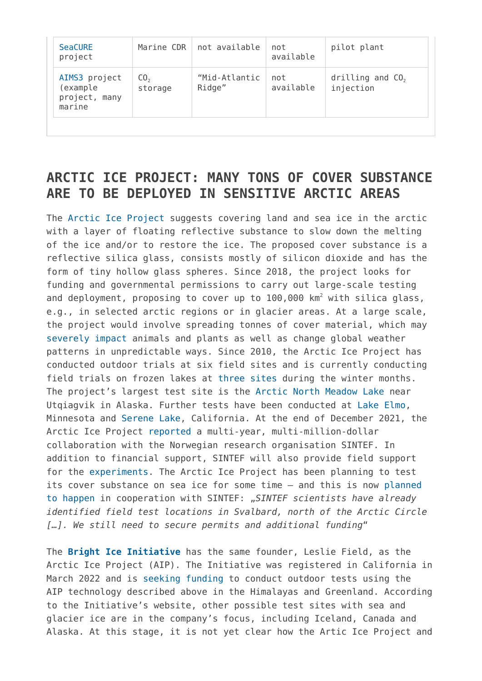| <b>SeaCURE</b><br>project                               | Marine CDR                 | not available           | not<br>available | pilot plant                     |
|---------------------------------------------------------|----------------------------|-------------------------|------------------|---------------------------------|
| AIMS3 project<br>(example<br>project,<br>many<br>marine | CO <sub>2</sub><br>storage | "Mid-Atlantic<br>Ridge" | not<br>available | drilling and $CO2$<br>injection |

### **ARCTIC ICE PROJECT: MANY TONS OF COVER SUBSTANCE ARE TO BE DEPLOYED IN SENSITIVE ARCTIC AREAS**

The [Arctic Ice Project](https://map.geoengineeringmonitor.org/other/arctic-ice-project-(former-ice911)-beaufort-gyre) suggests covering land and sea ice in the arctic with a layer of floating reflective substance to slow down the melting of the ice and/or to restore the ice. The proposed cover substance is a reflective silica glass, consists mostly of silicon dioxide and has the form of tiny hollow glass spheres. Since 2018, the project looks for funding and governmental permissions to carry out large-scale testing and deployment, proposing to cover up to  $100,000$  km<sup>2</sup> with silica glass, e.g., in selected arctic regions or in glacier areas. At a large scale, the project would involve spreading tonnes of cover material, which may [severely impact](https://www.geoengineeringmonitor.org/2018/04/ice-911-geoengineering-experiment-briefing/) animals and plants as well as change global weather patterns in unpredictable ways. Since 2010, the Arctic Ice Project has conducted outdoor trials at six field sites and is currently conducting field trials on frozen lakes at [three sites](https://www.arcticiceproject.org/our-approach/) during the winter months. The project's largest test site is the [Arctic North Meadow Lake](https://map.geoengineeringmonitor.org/other/arctic-ice-project-(former-ice911)-north-meadow-lake) near Utqiagvik in Alaska. Further tests have been conducted at [Lake Elmo](https://map.geoengineeringmonitor.org/other/arctic-ice-project-(former-ice911)-lake-elmo), Minnesota and [Serene Lake](https://map.geoengineeringmonitor.org/other/arctic-ice-project-(former-ice911)-serene-lake), California. At the end of December 2021, the Arctic Ice Project [reported](https://www.arcticiceproject.org/wp-content/uploads/2021/12/Annual-Report-2020-21-Dec-8.pdf) a multi-year, multi-million-dollar collaboration with the Norwegian research organisation SINTEF. In addition to financial support, SINTEF will also provide field support for the [experiments](https://map.geoengineeringmonitor.org/other/arctic-ice-project-(former-ice911)-svalbard). The Arctic Ice Project has been planning to test its cover substance on sea ice for some time – and this is now [planned](https://www.arcticiceproject.org/the-project/) [to happen](https://www.arcticiceproject.org/the-project/) in cooperation with SINTEF: "*SINTEF scientists have already identified field test locations in Svalbard, north of the Arctic Circle […]. We still need to secure permits and additional funding*"

The **[Bright Ice Initiative](https://map.geoengineeringmonitor.org/other/bright-ice-initiative)** has the same founder, Leslie Field, as the Arctic Ice Project (AIP). The Initiative was registered in California in March 2022 and is [seeking funding](https://donorbox.org/save-our-glaciers-concert) to conduct outdoor tests using the AIP technology described above in the Himalayas and Greenland. According to the Initiative's website, other possible test sites with sea and glacier ice are in the company's focus, including Iceland, Canada and Alaska. At this stage, it is not yet clear how the Artic Ice Project and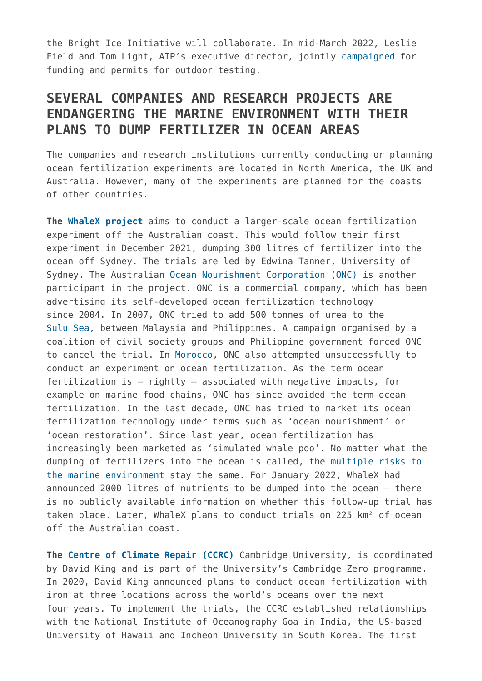the Bright Ice Initiative will collaborate. In mid-March 2022, Leslie Field and Tom Light, AIP's executive director, jointly [campaigned](https://joinanimalia.com/podcast/how-we-can-save-the-arctic/) for funding and permits for outdoor testing.

### **SEVERAL COMPANIES AND RESEARCH PROJECTS ARE ENDANGERING THE MARINE ENVIRONMENT WITH THEIR PLANS TO DUMP FERTILIZER IN OCEAN AREAS**

The companies and research institutions currently conducting or planning ocean fertilization experiments are located in North America, the UK and Australia. However, many of the experiments are planned for the coasts of other countries.

**The [WhaleX project](https://map.geoengineeringmonitor.org/ggr/whalex)** aims to conduct a larger-scale ocean fertilization experiment off the Australian coast. This would follow their first experiment in December 2021, dumping 300 litres of fertilizer into the ocean off Sydney. The trials are led by Edwina Tanner, University of Sydney. The Australian [Ocean Nourishment Corporation \(ONC\)](https://map.geoengineeringmonitor.org/ggr/onc-onf-(eos)-) is another participant in the project. ONC is a commercial company, which has been advertising its self-developed ocean fertilization technology since 2004. In 2007, ONC tried to add 500 tonnes of urea to the [Sulu Sea](https://map.geoengineeringmonitor.org/ggr/sulu-sea-(onc)), between Malaysia and Philippines. A campaign organised by a coalition of civil society groups and Philippine government forced ONC to cancel the trial. In [Morocco,](https://map.geoengineeringmonitor.org/ggr/onc-onf-ocean-fertilization-near-el-jadida) ONC also attempted unsuccessfully to conduct an experiment on ocean fertilization. As the term ocean fertilization is – rightly – associated with negative impacts, for example on marine food chains, ONC has since avoided the term ocean fertilization. In the last decade, ONC has tried to market its ocean fertilization technology under terms such as 'ocean nourishment' or 'ocean restoration'. Since last year, ocean fertilization has increasingly been marketed as 'simulated whale poo'. No matter what the dumping of fertilizers into the ocean is called, the [multiple risks to](https://www.geoengineeringmonitor.org/wp-content/uploads/2021/04/ocean-fertilization.pdf) [the marine environment](https://www.geoengineeringmonitor.org/wp-content/uploads/2021/04/ocean-fertilization.pdf) stay the same. For January 2022, WhaleX had announced 2000 litres of nutrients to be dumped into the ocean – there is no publicly available information on whether this follow-up trial has taken place. Later, WhaleX plans to conduct trials on 225 km² of ocean off the Australian coast.

**The [Centre of Climate Repair \(CCRC\)](https://map.geoengineeringmonitor.org/other/centre-for-climate-repair-at-cambridge-(ccrc))** Cambridge University, is coordinated by David King and is part of the University's Cambridge Zero programme. In 2020, David King announced plans to conduct ocean fertilization with iron at three locations across the world's oceans over the next four years. To implement the trials, the CCRC established relationships with the National Institute of Oceanography Goa in India, the US-based University of Hawaii and Incheon University in South Korea. The first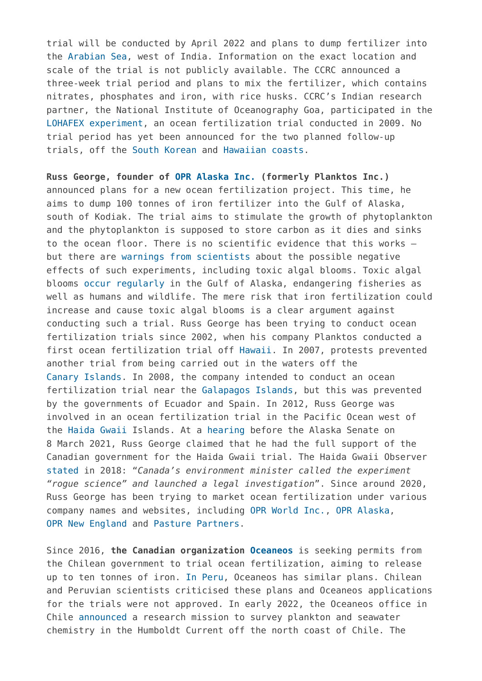trial will be conducted by April 2022 and plans to dump fertilizer into the [Arabian Sea,](https://map.geoengineeringmonitor.org/ggr/ccrc-national-institute-of-oceanography-goa-ocean-fertilization-trial) west of India. Information on the exact location and scale of the trial is not publicly available. The CCRC announced a three-week trial period and plans to mix the fertilizer, which contains nitrates, phosphates and iron, with rice husks. CCRC's Indian research partner, the National Institute of Oceanography Goa, participated in the [LOHAFEX experiment,](https://map.geoengineeringmonitor.org/ggr/lohafex) an ocean fertilization trial conducted in 2009. No trial period has yet been announced for the two planned follow-up trials, off the [South Korean](https://map.geoengineeringmonitor.org/ggr/ccrc-incheon-university-ocean-fertilization-trial) and [Hawaiian coasts](https://map.geoengineeringmonitor.org/ggr/ccrc-university-of-hawaii-ocean-fertilization-trial).

**Russ George, founder of [OPR Alaska Inc.](https://map.geoengineeringmonitor.org/ggr/opr-alaska-(former-planktos-inc-)) (formerly Planktos Inc.)** announced plans for a new ocean fertilization project. This time, he aims to dump 100 tonnes of iron fertilizer into the Gulf of Alaska, south of Kodiak. The trial aims to stimulate the growth of phytoplankton and the phytoplankton is supposed to store carbon as it dies and sinks to the ocean floor. There is no scientific evidence that this works – but there are [warnings from scientists](https://www.geoengineeringmonitor.org/wp-content/uploads/2021/04/ocean-fertilization.pdf) about the possible negative effects of such experiments, including toxic algal blooms. Toxic algal blooms [occur regularly](https://legacy.aoos.org/alaska-hab-network/what-are-habs/) in the Gulf of Alaska, endangering fisheries as well as humans and wildlife. The mere risk that iron fertilization could increase and cause toxic algal blooms is a clear argument against conducting such a trial. Russ George has been trying to conduct ocean fertilization trials since 2002, when his company Planktos conducted a first ocean fertilization trial off [Hawaii.](https://map.geoengineeringmonitor.org/ggr/planktos-(hawaii)) In 2007, protests prevented another trial from being carried out in the waters off the [Canary Islands](https://map.geoengineeringmonitor.org/ggr/planktos-(canary-islands)). In 2008, the company intended to conduct an ocean fertilization trial near the [Galapagos Islands](https://map.geoengineeringmonitor.org/ggr/planktos-(galapagos)), but this was prevented by the governments of Ecuador and Spain. In 2012, Russ George was involved in an ocean fertilization trial in the Pacific Ocean west of the [Haida Gwaii](https://map.geoengineeringmonitor.org/ggr/haida-salmon-restoration-corporation-(hsrc)) Islands. At a [hearing](https://www.akleg.gov/basis/Meeting/Detail?Meeting=SRES%202021-03-08%2015:30:00) before the Alaska Senate on 8 March 2021, Russ George claimed that he had the full support of the Canadian government for the Haida Gwaii trial. The Haida Gwaii Observer [stated](https://www.haidagwaiiobserver.com/local-news/divided-worldviews-at-play-in-debate-over-ocean-fertilization/) in 2018: "*Canada's environment minister called the experiment "rogue science" and launched a legal investigation*". Since around 2020, Russ George has been trying to market ocean fertilization under various company names and websites, including [OPR World Inc.,](https://oprworld.com/) [OPR Alaska](https://www.opralaska.com/), [OPR New England](https://oprnewengland.com/) and [Pasture Partners.](https://www.pasturepartners.com/)

Since 2016, **the Canadian organization [Oceaneos](https://map.geoengineeringmonitor.org/ggr/oceaneos-marine-research-foundation)** is seeking permits from the Chilean government to trial ocean fertilization, aiming to release up to ten tonnes of iron. [In Peru](https://map.geoengineeringmonitor.org/ggr/oceaneos-peru-s-a-c-), Oceaneos has similar plans. Chilean and Peruvian scientists criticised these plans and Oceaneos applications for the trials were not approved. In early 2022, the Oceaneos office in Chile [announced](https://www.oceaneos.org/careers/) a research mission to survey plankton and seawater chemistry in the Humboldt Current off the north coast of Chile. The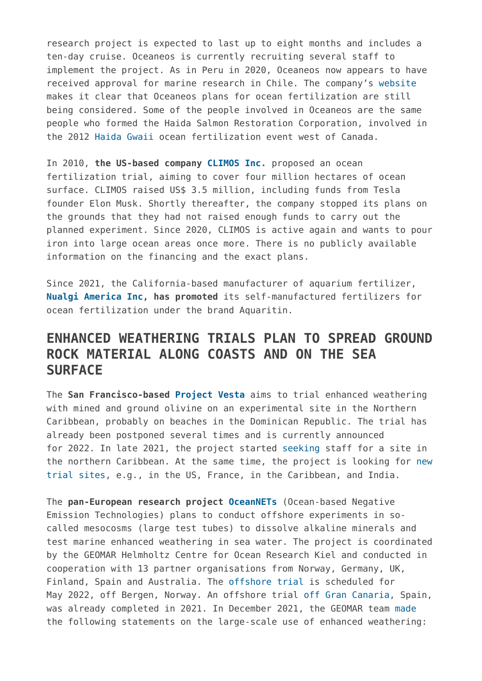research project is expected to last up to eight months and includes a ten-day cruise. Oceaneos is currently recruiting several staff to implement the project. As in Peru in 2020, Oceaneos now appears to have received approval for marine research in Chile. The company's [website](https://www.oceaneos.org/) makes it clear that Oceaneos plans for ocean fertilization are still being considered. Some of the people involved in Oceaneos are the same people who formed the Haida Salmon Restoration Corporation, involved in the 2012 [Haida Gwaii](https://map.geoengineeringmonitor.org/ggr/haida-salmon-restoration-corporation-(hsrc)) ocean fertilization event west of Canada.

In 2010, **the US-based company [CLIMOS Inc.](https://map.geoengineeringmonitor.org/ggr/climos-inc-)** proposed an ocean fertilization trial, aiming to cover four million hectares of ocean surface. CLIMOS raised US\$ 3.5 million, including funds from Tesla founder Elon Musk. Shortly thereafter, the company stopped its plans on the grounds that they had not raised enough funds to carry out the planned experiment. Since 2020, CLIMOS is active again and wants to pour iron into large ocean areas once more. There is no publicly available information on the financing and the exact plans.

Since 2021, the California-based manufacturer of aquarium fertilizer, **[Nualgi America Inc,](https://map.geoengineeringmonitor.org/ggr/nualgi-aquaritin) has promoted** its self-manufactured fertilizers for ocean fertilization under the brand Aquaritin.

### **ENHANCED WEATHERING TRIALS PLAN TO SPREAD GROUND ROCK MATERIAL ALONG COASTS AND ON THE SEA SURFACE**

The **San Francisco-based [Project Vesta](https://map.geoengineeringmonitor.org/ggr/project-vesta-trial)** aims to trial enhanced weathering with mined and ground olivine on an experimental site in the Northern Caribbean, probably on beaches in the Dominican Republic. The trial has already been postponed several times and is currently announced for 2022. In late 2021, the project started [seeking s](https://www.vesta.earth/the-project#Jobs)taff for a site in the northern Caribbean. At the same time, the project is looking for [new](https://map.geoengineeringmonitor.org/ggr/project-vesta-trial) [trial sites](https://map.geoengineeringmonitor.org/ggr/project-vesta-trial), e.g., in the US, France, in the Caribbean, and India.

The **pan-European research project [OceanNETs](https://map.geoengineeringmonitor.org/other/oceannets)** (Ocean-based Negative Emission Technologies) plans to conduct offshore experiments in socalled mesocosms (large test tubes) to dissolve alkaline minerals and test marine enhanced weathering in sea water. The project is coordinated by the GEOMAR Helmholtz Centre for Ocean Research Kiel and conducted in cooperation with 13 partner organisations from Norway, Germany, UK, Finland, Spain and Australia. The [offshore trial](https://map.geoengineeringmonitor.org/ggr/oceannets-(field-trial-in-norway)) is scheduled for May 2022, off Bergen, Norway. An offshore trial [off Gran Canaria](https://map.geoengineeringmonitor.org/ggr/oceannets-(field-trial-in-spain)), Spain, was already completed in 2021. In December 2021, the GEOMAR team [made](https://www.nationalgeographic.co.uk/environment-and-conservation/2021/12/could-crushed-rocks-absorb-enough-carbon-to-curb-global-warming) the following statements on the large-scale use of enhanced weathering: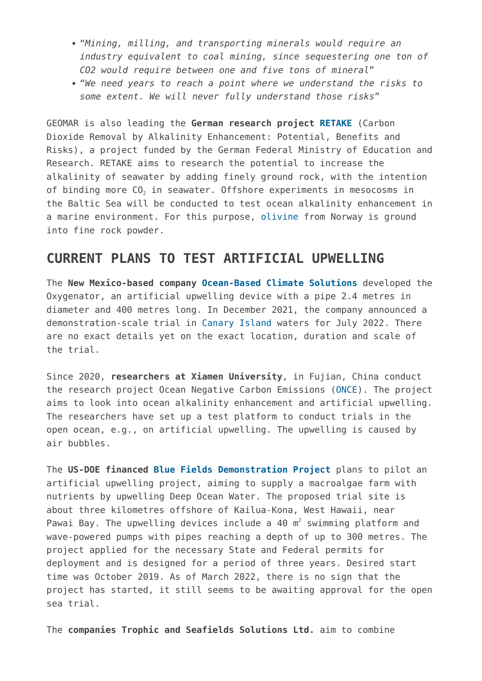- "*Mining, milling, and transporting minerals would require an industry equivalent to coal mining, since sequestering one ton of CO2 would require between one and five tons of mineral*"
- "*We need years to reach a point where we understand the risks to some extent. We will never fully understand those risks*"

GEOMAR is also leading the **German research project [RETAKE](https://map.geoengineeringmonitor.org/other/retake-project)** (Carbon Dioxide Removal by Alkalinity Enhancement: Potential, Benefits and Risks), a project funded by the German Federal Ministry of Education and Research. RETAKE aims to research the potential to increase the alkalinity of seawater by adding finely ground rock, with the intention of binding more CO<sub>2</sub> in seawater. Offshore experiments in mesocosms in the Baltic Sea will be conducted to test ocean alkalinity enhancement in a marine environment. For this purpose, [olivine](https://www.ndr.de/fernsehen/sendungen/ostsee-report/Ostsee-Kieler-Forschungstaucher-im-Wintereinsatz,sendung1226362.html) from Norway is ground into fine rock powder.

#### **CURRENT PLANS TO TEST ARTIFICIAL UPWELLING**

The **New Mexico-based company [Ocean-Based Climate Solutions](https://map.geoengineeringmonitor.org/ggr/ocean-based-climate-solutions-inc)** developed the Oxygenator, an artificial upwelling device with a pipe 2.4 metres in diameter and 400 metres long. In December 2021, the company announced a demonstration-scale trial in [Canary Island](https://map.geoengineeringmonitor.org/ggr/ocean-based-climate-solutions-inc-(canary-islands-trial)) waters for July 2022. There are no exact details yet on the exact location, duration and scale of the trial.

Since 2020, **researchers at Xiamen University**, in Fujian, China conduct the research project Ocean Negative Carbon Emissions [\(ONCE\)](https://map.geoengineeringmonitor.org/other/once-–-ocean-negative-carbon-emissions). The project aims to look into ocean alkalinity enhancement and artificial upwelling. The researchers have set up a test platform to conduct trials in the open ocean, e.g., on artificial upwelling. The upwelling is caused by air bubbles.

The **US-DOE financed [Blue Fields Demonstration Project](https://map.geoengineeringmonitor.org/ggr/blue-fields-demonstration-project)** plans to pilot an artificial upwelling project, aiming to supply a macroalgae farm with nutrients by upwelling Deep Ocean Water. The proposed trial site is about three kilometres offshore of Kailua-Kona, West Hawaii, near Pawai Bay. The upwelling devices include a 40  $m^2$  swimming platform and wave-powered pumps with pipes reaching a depth of up to 300 metres. The project applied for the necessary State and Federal permits for deployment and is designed for a period of three years. Desired start time was October 2019. As of March 2022, there is no sign that the project has started, it still seems to be awaiting approval for the open sea trial.

The **companies Trophic and Seafields Solutions Ltd.** aim to combine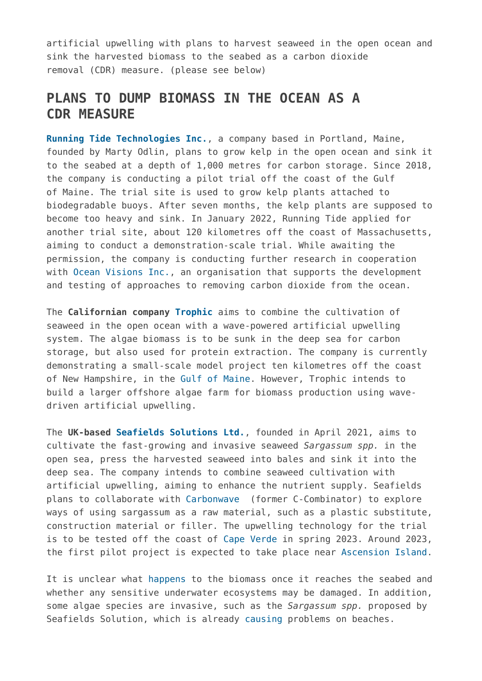artificial upwelling with plans to harvest seaweed in the open ocean and sink the harvested biomass to the seabed as a carbon dioxide removal (CDR) measure. (please see below)

#### **PLANS TO DUMP BIOMASS IN THE OCEAN AS A CDR MEASURE**

**[Running Tide Technologies Inc.](https://map.geoengineeringmonitor.org/other/running-tide-kelp-project)**, a company based in Portland, Maine, founded by Marty Odlin, plans to grow kelp in the open ocean and sink it to the seabed at a depth of 1,000 metres for carbon storage. Since 2018, the company is conducting a pilot trial off the coast of the Gulf of Maine. The trial site is used to grow kelp plants attached to biodegradable buoys. After seven months, the kelp plants are supposed to become too heavy and sink. In January 2022, Running Tide applied for another trial site, about 120 kilometres off the coast of Massachusetts, aiming to conduct a demonstration-scale trial. While awaiting the permission, the company is conducting further research in cooperation with [Ocean Visions Inc.,](https://map.geoengineeringmonitor.org/other/ocean-visions-inc-) an organisation that supports the development and testing of approaches to removing carbon dioxide from the ocean.

The **Californian company [Trophic](https://map.geoengineeringmonitor.org/other/trophic-(trofx))** aims to combine the cultivation of seaweed in the open ocean with a wave-powered artificial upwelling system. The algae biomass is to be sunk in the deep sea for carbon storage, but also used for protein extraction. The company is currently demonstrating a small-scale model project ten kilometres off the coast of New Hampshire, in the [Gulf of Maine](https://map.geoengineeringmonitor.org/other/trophic-gulf-of-maine-trial). However, Trophic intends to build a larger offshore algae farm for biomass production using wavedriven artificial upwelling.

The **UK-based [Seafields Solutions Ltd.](https://map.geoengineeringmonitor.org/other/seafields)**, founded in April 2021, aims to cultivate the fast-growing and invasive seaweed *Sargassum spp.* in the open sea, press the harvested seaweed into bales and sink it into the deep sea. The company intends to combine seaweed cultivation with artificial upwelling, aiming to enhance the nutrient supply. Seafields plans to collaborate with [Carbonwave](https://map.geoengineeringmonitor.org/other/carbonwave-(former-c-combinator)) (former C-Combinator) to explore ways of using sargassum as a raw material, such as a plastic substitute, construction material or filler. The upwelling technology for the trial is to be tested off the coast of [Cape Verde](https://map.geoengineeringmonitor.org/other/seafields-cape-verde-trial) in spring 2023. Around 2023, the first pilot project is expected to take place near [Ascension Island.](https://map.geoengineeringmonitor.org/other/seafields-ascension-island-trial)

It is unclear what [happens](https://inews.co.uk/news/green-farm-plan-new-uk-seaweed-capture-carbon-1372233) to the biomass once it reaches the seabed and whether any sensitive underwater ecosystems may be damaged. In addition, some algae species are invasive, such as the *Sargassum spp.* proposed by Seafields Solution, which is already [causing](https://inews.co.uk/news/green-farm-plan-new-uk-seaweed-capture-carbon-1372233) problems on beaches.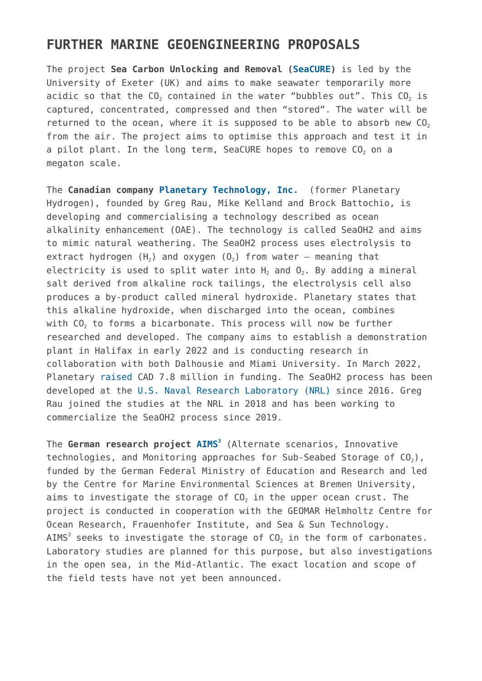#### **FURTHER MARINE GEOENGINEERING PROPOSALS**

The project **Sea Carbon Unlocking and Removal [\(SeaCURE](https://map.geoengineeringmonitor.org/other/seacure))** is led by the University of Exeter (UK) and aims to make seawater temporarily more acidic so that the  $CO<sub>2</sub>$  contained in the water "bubbles out". This  $CO<sub>2</sub>$  is captured, concentrated, compressed and then "stored". The water will be returned to the ocean, where it is supposed to be able to absorb new  $CO<sub>2</sub>$ from the air. The project aims to optimise this approach and test it in a pilot plant. In the long term, SeaCURE hopes to remove CO<sub>2</sub> on a megaton scale.

The **Canadian company [Planetary Technology, Inc.](https://map.geoengineeringmonitor.org/ggr/planetary-technology-(-former-planetary-hydrogen-))** (former Planetary Hydrogen), founded by Greg Rau, Mike Kelland and Brock Battochio, is developing and commercialising a technology described as ocean alkalinity enhancement (OAE). The technology is called SeaOH2 and aims to mimic natural weathering. The SeaOH2 process uses electrolysis to extract hydrogen  $(H_2)$  and oxygen  $(0_2)$  from water – meaning that electricity is used to split water into  $H_2$  and  $O_2$ . By adding a mineral salt derived from alkaline rock tailings, the electrolysis cell also produces a by-product called mineral hydroxide. Planetary states that this alkaline hydroxide, when discharged into the ocean, combines with CO<sub>2</sub> to forms a bicarbonate. This process will now be further researched and developed. The company aims to establish a demonstration plant in Halifax in early 2022 and is conducting research in collaboration with both Dalhousie and Miami University. In March 2022, Planetary [raised](https://www.planetarytech.com/2022/03/17/carbon-removal-startup-planetary-technologies-announces-7-8m-in-funding-offer-of-3000-carbon-credits/) CAD 7.8 million in funding. The SeaOH2 process has been developed at the [U.S. Naval Research Laboratory \(NRL\)](https://map.geoengineeringmonitor.org/other/nrl-co2-extraction-from-sea-water) since 2016. Greg Rau joined the studies at the NRL in 2018 and has been working to commercialize the SeaOH2 process since 2019.

The **German research project [AIMS](https://map.geoengineeringmonitor.org/other/aims3-project)[3](https://map.geoengineeringmonitor.org/other/aims3-project)** (Alternate scenarios, Innovative technologies, and Monitoring approaches for Sub-Seabed Storage of  $CO<sub>2</sub>$ ), funded by the German Federal Ministry of Education and Research and led by the Centre for Marine Environmental Sciences at Bremen University, aims to investigate the storage of  $CO<sub>2</sub>$  in the upper ocean crust. The project is conducted in cooperation with the GEOMAR Helmholtz Centre for Ocean Research, Frauenhofer Institute, and Sea & Sun Technology. AIMS $^3$  seeks to investigate the storage of CO $_2$  in the form of carbonates. Laboratory studies are planned for this purpose, but also investigations in the open sea, in the Mid-Atlantic. The exact location and scope of the field tests have not yet been announced.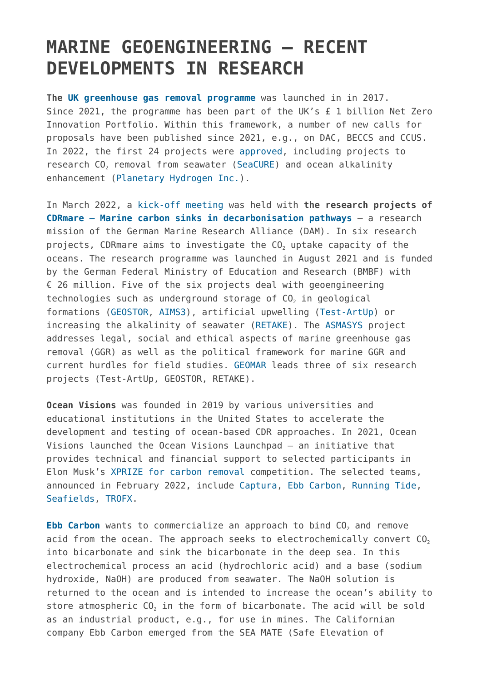# **MARINE GEOENGINEERING – RECENT DEVELOPMENTS IN RESEARCH**

**The [UK greenhouse gas removal programme](https://map.geoengineeringmonitor.org/other/uk-greenhouse-gas-removal-programme)** was launched in in 2017. Since 2021, the programme has been part of the UK's £ 1 billion Net Zero Innovation Portfolio. Within this framework, a number of new calls for proposals have been published since 2021, e.g., on DAC, BECCS and CCUS. In 2022, the first 24 projects were [approved,](https://www.gov.uk/government/publications/direct-air-capture-and-other-greenhouse-gas-removal-technologies-competition/projects-selected-for-phase-1-of-the-direct-air-capture-and-greenhouse-gas-removal-programme#seacure-marine-mediated-anthropogenic-carbon-removal-sea-carbon-unlocking-and-removal) including projects to research CO<sub>2</sub> removal from seawater ([SeaCURE](https://map.geoengineeringmonitor.org/other/seacure)) and ocean alkalinity enhancement ([Planetary Hydrogen Inc.\)](https://map.geoengineeringmonitor.org/ggr/planetary-technology-(-former-planetary-hydrogen-)).

In March 2022, a [kick-off meeting](https://www.allianz-meeresforschung.de/news/premiere-in-lueneburg-cdrmare-forschende-diskutieren-meeresbasierte-methoden-zur-co2-entnahme-aus-der-atmosphaere/) was held with **the research projects of [CDRmare – Marine carbon sinks in decarbonisation pathways](https://map.geoengineeringmonitor.org/other/cdrmare-research-mission)** – a research mission of the German Marine Research Alliance (DAM). In six research projects, CDRmare aims to investigate the CO<sub>2</sub> uptake capacity of the oceans. The research programme was launched in August 2021 and is funded by the German Federal Ministry of Education and Research (BMBF) with € 26 million. Five of the six projects deal with geoengineering technologies such as underground storage of  $CO<sub>2</sub>$  in geological formations ([GEOSTOR](https://map.geoengineeringmonitor.org/other/geostor-project), [AIMS3\)](https://map.geoengineeringmonitor.org/other/aims3-project), artificial upwelling [\(Test-ArtUp](https://map.geoengineeringmonitor.org/other/test-artup-project)) or increasing the alkalinity of seawater ([RETAKE\)](https://map.geoengineeringmonitor.org/other/retake-project). The [ASMASYS](https://map.geoengineeringmonitor.org/other/asmasys-project) project addresses legal, social and ethical aspects of marine greenhouse gas removal (GGR) as well as the political framework for marine GGR and current hurdles for field studies. [GEOMAR](https://map.geoengineeringmonitor.org/other/geomar) leads three of six research projects (Test-ArtUp, GEOSTOR, RETAKE).

**Ocean Visions** was founded in 2019 by various universities and educational institutions in the United States to accelerate the development and testing of ocean-based CDR approaches. In 2021, Ocean Visions launched the Ocean Visions Launchpad – an initiative that provides technical and financial support to selected participants in Elon Musk's [XPRIZE for carbon removal](https://map.geoengineeringmonitor.org/other/xprize-for-carbon-removal-(elon-musk)) competition. The selected teams, announced in February 2022, include [Captura](https://map.geoengineeringmonitor.org/other/captura-(caltech)), [Ebb Carbon,](https://map.geoengineeringmonitor.org/other/ebb-carbon-(former-sea-mate-project)) [Running Tide](https://map.geoengineeringmonitor.org/other/running-tide-kelp-project), [Seafields](https://map.geoengineeringmonitor.org/other/seafields-ascension-island-trial), [TROFX](https://map.geoengineeringmonitor.org/other/trophic-(trofx)).

**[Ebb Carbon](https://map.geoengineeringmonitor.org/other/ebb-carbon-(former-sea-mate-project))** wants to commercialize an approach to bind CO<sub>2</sub> and remove acid from the ocean. The approach seeks to electrochemically convert  $CO<sub>2</sub>$ into bicarbonate and sink the bicarbonate in the deep sea. In this electrochemical process an acid (hydrochloric acid) and a base (sodium hydroxide, NaOH) are produced from seawater. The NaOH solution is returned to the ocean and is intended to increase the ocean's ability to store atmospheric  $CO<sub>2</sub>$  in the form of bicarbonate. The acid will be sold as an industrial product, e.g., for use in mines. The Californian company Ebb Carbon emerged from the SEA MATE (Safe Elevation of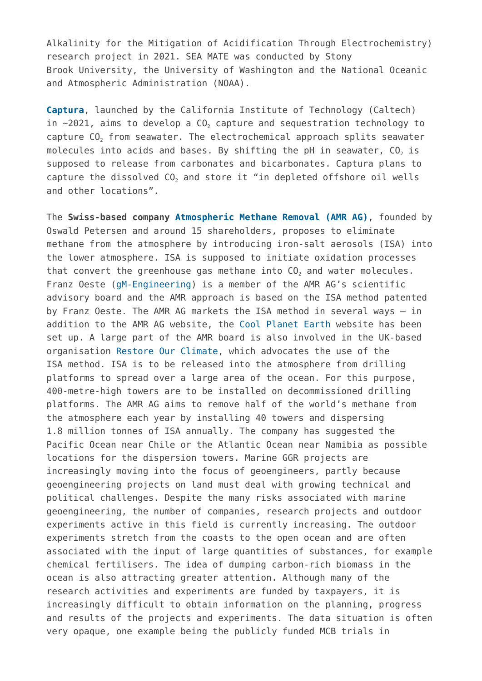Alkalinity for the Mitigation of Acidification Through Electrochemistry) research project in 2021. SEA MATE was conducted by Stony Brook University, the University of Washington and the National Oceanic and Atmospheric Administration (NOAA).

**[Captura](https://map.geoengineeringmonitor.org/other/captura-(caltech))**, launched by the California Institute of Technology (Caltech) in  $\sim$ 2021, aims to develop a CO<sub>2</sub> capture and sequestration technology to capture CO<sub>2</sub> from seawater. The electrochemical approach splits seawater molecules into acids and bases. By shifting the pH in seawater,  $CO<sub>2</sub>$  is supposed to release from carbonates and bicarbonates. Captura plans to capture the dissolved CO<sub>2</sub> and store it "in depleted offshore oil wells and other locations".

The **Swiss-based company [Atmospheric Methane Removal \(AMR AG\)](https://map.geoengineeringmonitor.org/other/atmospheric-methane-removal-(amr-ag))**, founded by Oswald Petersen and around 15 shareholders, proposes to eliminate methane from the atmosphere by introducing iron-salt aerosols (ISA) into the lower atmosphere. ISA is supposed to initiate oxidation processes that convert the greenhouse gas methane into  $CO<sub>2</sub>$  and water molecules. Franz Oeste ([gM-Engineering](https://map.geoengineeringmonitor.org/srm/isa-iron-salt-aerosol-method-field-trial-in-bass-strait)) is a member of the AMR AG's scientific advisory board and the AMR approach is based on the ISA method patented by Franz Oeste. The AMR AG markets the ISA method in several ways – in addition to the AMR AG website, the [Cool Planet Earth](https://cool-planet.earth/) website has been set up. A large part of the AMR board is also involved in the UK-based organisation [Restore Our Climate](https://restoreourclimate.earth/), which advocates the use of the ISA method. ISA is to be released into the atmosphere from drilling platforms to spread over a large area of the ocean. For this purpose, 400-metre-high towers are to be installed on decommissioned drilling platforms. The AMR AG aims to remove half of the world's methane from the atmosphere each year by installing 40 towers and dispersing 1.8 million tonnes of ISA annually. The company has suggested the Pacific Ocean near Chile or the Atlantic Ocean near Namibia as possible locations for the dispersion towers. Marine GGR projects are increasingly moving into the focus of geoengineers, partly because geoengineering projects on land must deal with growing technical and political challenges. Despite the many risks associated with marine geoengineering, the number of companies, research projects and outdoor experiments active in this field is currently increasing. The outdoor experiments stretch from the coasts to the open ocean and are often associated with the input of large quantities of substances, for example chemical fertilisers. The idea of dumping carbon-rich biomass in the ocean is also attracting greater attention. Although many of the research activities and experiments are funded by taxpayers, it is increasingly difficult to obtain information on the planning, progress and results of the projects and experiments. The data situation is often very opaque, one example being the publicly funded MCB trials in